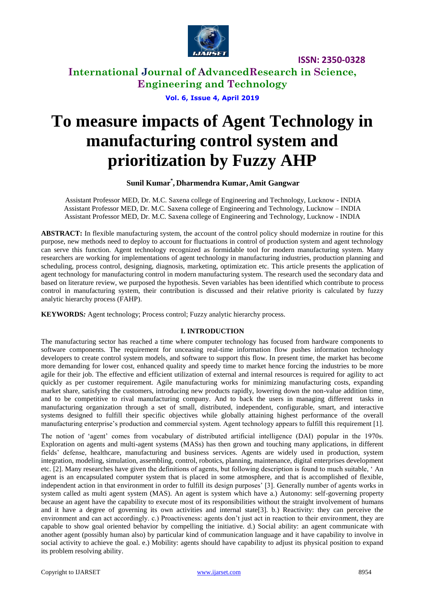

**International Journal of AdvancedResearch in Science, Engineering and Technology**

**Vol. 6, Issue 4, April 2019**

# **To measure impacts of Agent Technology in manufacturing control system and prioritization by Fuzzy AHP**

#### **Sunil Kumar\* , Dharmendra Kumar,Amit Gangwar**

Assistant Professor MED, Dr. M.C. Saxena college of Engineering and Technology, Lucknow - INDIA Assistant Professor MED, Dr. M.C. Saxena college of Engineering and Technology, Lucknow – INDIA Assistant Professor MED, Dr. M.C. Saxena college of Engineering and Technology, Lucknow - INDIA

**ABSTRACT:** In flexible manufacturing system, the account of the control policy should modernize in routine for this purpose, new methods need to deploy to account for fluctuations in control of production system and agent technology can serve this function. Agent technology recognized as formidable tool for modern manufacturing system. Many researchers are working for implementations of agent technology in manufacturing industries, production planning and scheduling, process control, designing, diagnosis, marketing, optimization etc. This article presents the application of agent technology for manufacturing control in modern manufacturing system. The research used the secondary data and based on literature review, we purposed the hypothesis. Seven variables has been identified which contribute to process control in manufacturing system, their contribution is discussed and their relative priority is calculated by fuzzy analytic hierarchy process (FAHP).

**KEYWORDS***:* Agent technology; Process control; Fuzzy analytic hierarchy process.

#### **I. INTRODUCTION**

The manufacturing sector has reached a time where computer technology has focused from hardware components to software components. The requirement for unceasing real-time information flow pushes information technology developers to create control system models, and software to support this flow. In present time, the market has become more demanding for lower cost, enhanced quality and speedy time to market hence forcing the industries to be more agile for their job. The effective and efficient utilization of external and internal resources is required for agility to act quickly as per customer requirement. Agile manufacturing works for minimizing manufacturing costs, expanding market share, satisfying the customers, introducing new products rapidly, lowering down the non-value addition time, and to be competitive to rival manufacturing company. And to back the users in managing different tasks in manufacturing organization through a set of small, distributed, independent, configurable, smart, and interactive systems designed to fulfill their specific objectives while globally attaining highest performance of the overall manufacturing enterprise"s production and commercial system. Agent technology appears to fulfill this requirement [1].

The notion of "agent" comes from vocabulary of distributed artificial intelligence (DAI) popular in the 1970s. Exploration on agents and multi-agent systems (MASs) has then grown and touching many applications, in different fields" defense, healthcare, manufacturing and business services. Agents are widely used in production, system integration, modeling, simulation, assembling, control, robotics, planning, maintenance, digital enterprises development etc. [2]. Many researches have given the definitions of agents, but following description is found to much suitable, " An agent is an encapsulated computer system that is placed in some atmosphere, and that is accomplished of flexible, independent action in that environment in order to fulfill its design purposes" [3]. Generally number of agents works in system called as multi agent system (MAS). An agent is system which have a.) Autonomy: self-governing property because an agent have the capability to execute most of its responsibilities without the straight involvement of humans and it have a degree of governing its own activities and internal state[3]. b.) Reactivity: they can perceive the environment and can act accordingly. c.) Proactiveness: agents don't just act in reaction to their environment, they are capable to show goal oriented behavior by compelling the initiative. d.) Social ability: an agent communicate with another agent (possibly human also) by particular kind of communication language and it have capability to involve in social activity to achieve the goal. e.) Mobility: agents should have capability to adjust its physical position to expand its problem resolving ability.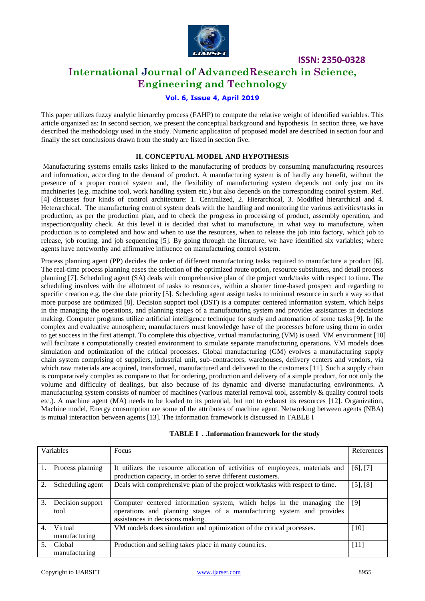

### **International Journal of AdvancedResearch in Science, Engineering and Technology**

#### **Vol. 6, Issue 4, April 2019**

This paper utilizes fuzzy analytic hierarchy process (FAHP) to compute the relative weight of identified variables. This article organized as: In second section, we present the conceptual background and hypothesis. In section three, we have described the methodology used in the study. Numeric application of proposed model are described in section four and finally the set conclusions drawn from the study are listed in section five.

#### **II. CONCEPTUAL MODEL AND HYPOTHESIS**

Manufacturing systems entails tasks linked to the manufacturing of products by consuming manufacturing resources and information, according to the demand of product. A manufacturing system is of hardly any benefit, without the presence of a proper control system and, the flexibility of manufacturing system depends not only just on its machineries (e.g. machine tool, work handling system etc.) but also depends on the corresponding control system. Ref. [4] discusses four kinds of control architecture: 1. Centralized, 2. Hierarchical, 3. Modified hierarchical and 4. Heterarchical. The manufacturing control system deals with the handling and monitoring the various activities/tasks in production, as per the production plan, and to check the progress in processing of product, assembly operation, and inspection/quality check. At this level it is decided that what to manufacture, in what way to manufacture, when production is to completed and how and when to use the resources, when to release the job into factory, which job to release, job routing, and job sequencing [5]. By going through the literature, we have identified six variables; where agents have noteworthy and affirmative influence on manufacturing control system.

Process planning agent (PP) decides the order of different manufacturing tasks required to manufacture a product [6]. The real-time process planning eases the selection of the optimized route option, resource substitutes, and detail process planning [7]. Scheduling agent (SA) deals with comprehensive plan of the project work/tasks with respect to time. The scheduling involves with the allotment of tasks to resources, within a shorter time-based prospect and regarding to specific creation e.g. the due date priority [5]. Scheduling agent assign tasks to minimal resource in such a way so that more purpose are optimized [8]. Decision support tool (DST) is a computer centered information system, which helps in the managing the operations, and planning stages of a manufacturing system and provides assistances in decisions making. Computer programs utilize artificial intelligence technique for study and automation of some tasks [9]. In the complex and evaluative atmosphere, manufacturers must knowledge have of the processes before using them in order to get success in the first attempt. To complete this objective, virtual manufacturing (VM) is used. VM environment [10] will facilitate a computationally created environment to simulate separate manufacturing operations. VM models does simulation and optimization of the critical processes. Global manufacturing (GM) evolves a manufacturing supply chain system comprising of suppliers, industrial unit, sub-contractors, warehouses, delivery centers and vendors, via which raw materials are acquired, transformed, manufactured and delivered to the customers [11]. Such a supply chain is comparatively complex as compare to that for ordering, production and delivery of a simple product, for not only the volume and difficulty of dealings, but also because of its dynamic and diverse manufacturing environments. A manufacturing system consists of number of machines (various material removal tool, assembly & quality control tools etc.). A machine agent (MA) needs to be loaded to its potential, but not to exhaust its resources [12]. Organization, Machine model, Energy consumption are some of the attributes of machine agent. Networking between agents (NBA) is mutual interaction between agents [13]. The information framework is discussed in TABLE I

| Variables        |                          | Focus                                                                                                                                                                              |          |
|------------------|--------------------------|------------------------------------------------------------------------------------------------------------------------------------------------------------------------------------|----------|
|                  | Process planning         | It utilizes the resource allocation of activities of employees, materials and<br>production capacity, in order to serve different customers.                                       | [6], [7] |
| $\mathfrak{D}$ . | Scheduling agent         | Deals with comprehensive plan of the project work/tasks with respect to time.                                                                                                      | [5], [8] |
| 3.               | Decision support<br>tool | Computer centered information system, which helps in the managing the<br>operations and planning stages of a manufacturing system and provides<br>assistances in decisions making. | [9]      |
| 4.               | Virtual<br>manufacturing | VM models does simulation and optimization of the critical processes.                                                                                                              | $[10]$   |
| 5.               | Global<br>manufacturing  | Production and selling takes place in many countries.                                                                                                                              | $[11]$   |

#### **TABLE I . .Information framework for the study**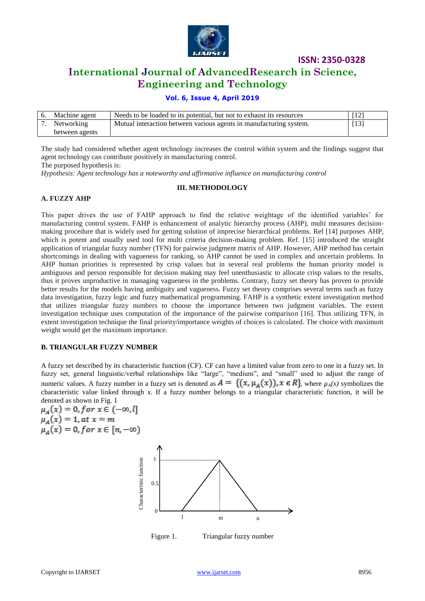

### **International Journal of AdvancedResearch in Science, Engineering and Technology**

#### **Vol. 6, Issue 4, April 2019**

| Machine agent  | Needs to be loaded to its potential, but not to exhaust its resources |      |
|----------------|-----------------------------------------------------------------------|------|
| Networking     | Mutual interaction between various agents in manufacturing system.    | [13] |
| between agents |                                                                       |      |

The study had considered whether agent technology increases the control within system and the findings suggest that agent technology can contribute positively in manufacturing control.

The purposed hypothesis is:

*Hypothesis: Agent technology has a noteworthy and affirmative influence on manufacturing control*

#### **III. METHODOLOGY**

#### **A. FUZZY AHP**

This paper drives the use of FAHP approach to find the relative weightage of the identified variables" for manufacturing control system. FAHP is enhancement of analytic hierarchy process (AHP), multi measures decisionmaking procedure that is widely used for getting solution of imprecise hierarchical problems. Ref [14] purposes AHP, which is potent and usually used tool for multi criteria decision-making problem. Ref. [15] introduced the straight application of triangular fuzzy number (TFN) for pairwise judgment matrix of AHP. However, AHP method has certain shortcomings in dealing with vagueness for ranking, so AHP cannot be used in complex and uncertain problems. In AHP human priorities is represented by crisp values but in several real problems the human priority model is ambiguous and person responsible for decision making may feel unenthusiastic to allocate crisp values to the results, thus it proves unproductive in managing vagueness in the problems. Contrary, fuzzy set theory has proven to provide better results for the models having ambiguity and vagueness. Fuzzy set theory comprises several terms such as fuzzy data investigation, fuzzy logic and fuzzy mathematical programming. FAHP is a synthetic extent investigation method that utilizes triangular fuzzy numbers to choose the importance between two judgment variables. The extent investigation technique uses computation of the importance of the pairwise comparison [16]. Thus utilizing TFN, in extent investigation technique the final priority/importance weights of choices is calculated. The choice with maximum weight would get the maximum importance.

#### **B. TRIANGULAR FUZZY NUMBER**

A fuzzy set described by its characteristic function (CF). CF can have a limited value from zero to one in a fuzzy set. In fuzzy set, general linguistic/verbal relationships like "large", "medium", and "small" used to adjust the range of numeric values. A fuzzy number in a fuzzy set is denoted as  $A = \{ (x, \mu_A(x)), x \in R \}$ , where  $\mu_A(x)$  symbolizes the characteristic value linked through *x*. If a fuzzy number belongs to a triangular characteristic function, it will be

denoted as shown in Fig. 1<br>  $\mu_A(x) = 0$ , f or  $x \in (-\infty, l]$ <br>  $\mu_A(x) = 1$ , at  $x = m$ <br>  $\mu_A(x) = 0$ , f or  $x \in [n, -\infty)$ 



Figure 1. Triangular fuzzy number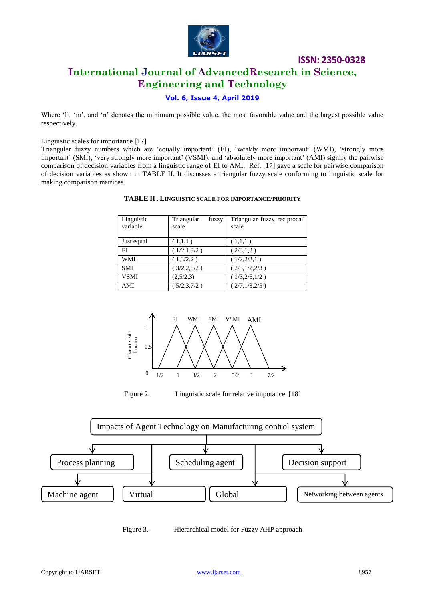

### **International Journal of AdvancedResearch in Science, Engineering and Technology**

### **Vol. 6, Issue 4, April 2019**

Where 'l', 'm', and 'n' denotes the minimum possible value, the most favorable value and the largest possible value respectively.

Linguistic scales for importance [17]

Triangular fuzzy numbers which are 'equally important' (EI), 'weakly more important' (WMI), 'strongly more important' (SMI), 'very strongly more important' (VSMI), and 'absolutely more important' (AMI) signify the pairwise comparison of decision variables from a linguistic range of EI to AMI. Ref. [17] gave a scale for pairwise comparison of decision variables as shown in TABLE II. It discusses a triangular fuzzy scale conforming to linguistic scale for making comparison matrices.

| Linguistic<br>variable | Triangular<br>fuzzy<br>scale | Triangular fuzzy reciprocal<br>scale |
|------------------------|------------------------------|--------------------------------------|
| Just equal             | (1,1,1)                      | (1,1,1)                              |
| ΕI                     | (1/2,1,3/2)                  | (2/3,1,2)                            |
| <b>WMI</b>             | (1,3/2,2)                    | (1/2, 2/3, 1)                        |
| <b>SMI</b>             | (3/2, 2, 5/2)                | (2/5,1/2,2/3)                        |
| <b>VSMI</b>            | (2,5/2,3)                    | (1/3, 2/5, 1/2)                      |
| AMI                    | (5/2,3,7/2)                  | (2/7,1/3,2/5)                        |

#### **TABLE II . LINGUISTIC SCALE FOR IMPORTANCE/PRIORITY**





Figure 2. Linguistic scale for relative impotance. [18]



Figure 3. Hierarchical model for Fuzzy AHP approach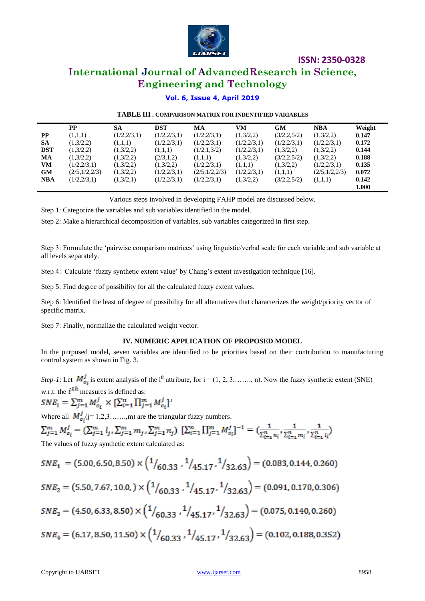

### **International Journal of AdvancedResearch in Science, Engineering and Technology**

#### **Vol. 6, Issue 4, April 2019**

#### **TABLE III . COMPARISON MATRIX FOR INDENTIFIED VARIABLES**

|            | РP            | <b>SA</b>   | <b>DST</b>  | МA            | VM          | <b>GM</b>     | <b>NBA</b>    | Weight |
|------------|---------------|-------------|-------------|---------------|-------------|---------------|---------------|--------|
| <b>PP</b>  | (1,1,1)       | (1/2,2/3,1) | (1/2,2/3,1) | (1/2,2/3,1)   | (1,3/2,2)   | (3/2, 2, 5/2) | (1,3/2,2)     | 0.147  |
| <b>SA</b>  | (1,3/2,2)     | (1,1,1)     | (1/2,2/3,1) | (1/2,2/3,1)   | (1/2,2/3,1) | (1/2,2/3,1)   | (1/2,2/3,1)   | 0.172  |
| <b>DST</b> | (1,3/2,2)     | (1,3/2,2)   | (1,1,1)     | (1/2,1,3/2)   | (1/2,2/3,1) | (1,3/2,2)     | (1,3/2,2)     | 0.144  |
| MA         | (1,3/2,2)     | (1,3/2,2)   | (2/3,1,2)   | (1,1,1)       | (1,3/2,2)   | (3/2, 2, 5/2) | (1,3/2,2)     | 0.188  |
| <b>VM</b>  | (1/2, 2/3, 1) | (1,3/2,2)   | (1,3/2,2)   | (1/2,2/3,1)   | (1,1,1)     | (1,3/2,2)     | (1/2,2/3,1)   | 0.135  |
| <b>GM</b>  | (2/5,1/2,2/3) | (1,3/2,2)   | (1/2,2/3,1) | (2/5,1/2,2/3) | (1/2,2/3,1) | (1,1,1)       | (2/5,1/2,2/3) | 0.072  |
| <b>NBA</b> | (1/2, 2/3, 1) | (1,3/2,1)   | (1/2,2/3,1) | (1/2, 2/3, 1) | (1,3/2,2)   | (3/2, 2, 5/2) | (1,1,1)       | 0.142  |
|            |               |             |             |               |             |               |               | 1.000  |

Various steps involved in developing FAHP model are discussed below.

Step 1: Categorize the variables and sub variables identified in the model.

Step 2: Make a hierarchical decomposition of variables, sub variables categorized in first step.

Step 3: Formulate the 'pairwise comparison matrices' using linguistic/verbal scale for each variable and sub variable at all levels separately.

Step 4: Calculate "fuzzy synthetic extent value" by Chang"s extent investigation technique [16].

Step 5: Find degree of possibility for all the calculated fuzzy extent values.

Step 6: Identified the least of degree of possibility for all alternatives that characterizes the weight/priority vector of specific matrix.

Step 7: Finally, normalize the calculated weight vector.

#### **IV. NUMERIC APPLICATION OF PROPOSED MODEL**

In the purposed model, seven variables are identified to be priorities based on their contribution to manufacturing control system as shown in Fig. 3.

*Step-1*: Let  $M_{c_i}^j$  is extent analysis of the i<sup>th</sup> attribute, for  $i = (1, 2, 3, \ldots, n)$ . Now the fuzzy synthetic extent (SNE) w.r.t. the  $i^{th}$  measures is defined as:

 $SNE_{i}=\sum_{j=1}^{m}M_{c_{i}}^{j}\times[\sum_{i=1}^{n}\prod_{j=1}^{m}M_{c_{i}}^{j}]^{1}$ 

Where all  $M_{c_i}^j$  (j= 1,2,3……,m) are the triangular fuzzy numbers.

$$
\sum_{j=1}^{m} M_{c_i}^j = (\sum_{j=1}^{m} l_j, \sum_{j=1}^{m} m_j, \sum_{j=1}^{m} n_j) [\sum_{i=1}^{n} \prod_{j=1}^{m} M_{c_i}^j]^{-1} = (\frac{1}{\sum_{i=1}^{n} n_i}, \frac{1}{\sum_{i=1}^{n} m_i}, \frac{1}{\sum_{i=1}^{n} l_i})
$$
  
The values of fuzzy synthetic extent calculated as:

ne values of fuzzy synthetic extent calcul

$$
SNE_1 = (5.00, 6.50, 8.50) \times \left(\frac{1}{60.33}, \frac{1}{45.17}, \frac{1}{32.63}\right) = (0.083, 0.144, 0.260)
$$
  
\n
$$
SNE_2 = (5.50, 7.67, 10.0, ) \times \left(\frac{1}{60.33}, \frac{1}{45.17}, \frac{1}{32.63}\right) = (0.091, 0.170, 0.306)
$$
  
\n
$$
SNE_3 = (4.50, 6.33, 8.50) \times \left(\frac{1}{60.33}, \frac{1}{45.17}, \frac{1}{32.63}\right) = (0.075, 0.140, 0.260)
$$
  
\n
$$
SNE_4 = (6.17, 8.50, 11.50) \times \left(\frac{1}{60.33}, \frac{1}{45.17}, \frac{1}{32.63}\right) = (0.102, 0.188, 0.352)
$$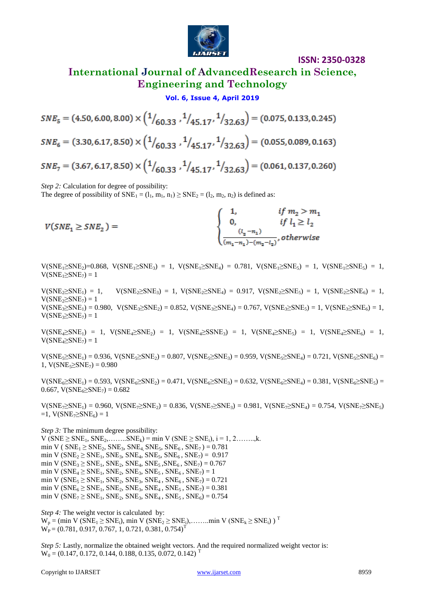

### **International Journal of AdvancedResearch in Science, Engineering and Technology**

#### **Vol. 6, Issue 4, April 2019**

 $SNE<sub>5</sub> = (4.50, 6.00, 8.00) \times (\frac{1}{60.33}, \frac{1}{45.17}, \frac{1}{32.63}) = (0.075, 0.133, 0.245)$  $SNE_6 = (3.30, 6.17, 8.50) \times (\frac{1}{60.33}, \frac{1}{45.17}, \frac{1}{32.63}) = (0.055, 0.089, 0.163)$  $SNE_7 = (3.67, 6.17, 8.50) \times (\frac{1}{60.33}, \frac{1}{45.17}, \frac{1}{32.63}) = (0.061, 0.137, 0.260)$ 

*Step 2:* Calculation for degree of possibility:

The degree of possibility of  $SNE_1 = (l_1, m_1, n_1) \geq SNE_2 = (l_2, m_2, n_2)$  is defined as:

$$
V(SNE_1 \geq SNE_2) = \begin{cases} 1, & if \ m_2 > m_1 \\ 0, & if \ l_1 \geq l_2 \\ \frac{(l_2 - n_1)}{(m_1 - n_1) - (m_2 - l_2)}, otherwise \end{cases}
$$

 $V(SNE_1 \geq SNE_2) = 0.868$ ,  $V(SNE_1 \geq SNE_3) = 1$ ,  $V(SNE_1 \geq SNE_4) = 0.781$ ,  $V(SNE_1 \geq SNE_5) = 1$ ,  $V(SNE_1 \geq SNE_5) = 1$ ,  $V(SNE_1 \geq SNE_7) = 1$ 

 $V(SNE_2 \ge SNE_1) = 1$ ,  $V(SNE_2 \ge SNE_3) = 1$ ,  $V(SNE_2 \ge SNE_4) = 0.917$ ,  $V(SNE_2 \ge SNE_5) = 1$ ,  $V(SNE_2 \ge SNE_6) = 1$ ,  $V(SNE<sub>2</sub>)$  = 1  $V(SNE_3 \geq SNE_1) = 0.980$ ,  $V(SNE_3 \geq SNE_2) = 0.852$ ,  $V(SNE_3 \geq SNE_4) = 0.767$ ,  $V(SNE_3 \geq SNE_5) = 1$ ,  $V(SNE_3 \geq SNE_6) = 1$ ,  $V(SNE<sub>3</sub> \geq SNE<sub>7</sub>) = 1$ 

 $V(SNE_4 \geq SNE_1) = 1$ ,  $V(SNE_4 \geq SNE_2) = 1$ ,  $V(SNE_4 \geq SNE_3) = 1$ ,  $V(SNE_4 \geq SNE_5) = 1$ ,  $V(SNE_4 \geq SNE_6) = 1$ ,  $V(SNE<sub>4</sub> \geq SNE<sub>7</sub>) = 1$ 

 $V(SNE_5 \geq SNE_1) = 0.936$ ,  $V(SNE_5 \geq SNE_2) = 0.807$ ,  $V(SNE_5 \geq SNE_3) = 0.959$ ,  $V(SNE_5 \geq SNE_4) = 0.721$ ,  $V(SNE_5 \geq SNE_6) = 0.936$ 1,  $V(SNE<sub>5</sub> \geq SNE<sub>7</sub>) = 0.980$ 

 $V(SNE<sub>6</sub> \geq SNE<sub>1</sub>) = 0.593$ ,  $V(SNE<sub>6</sub> \geq SNE<sub>2</sub>) = 0.471$ ,  $V(SNE<sub>6</sub> \geq SNE<sub>3</sub>) = 0.632$ ,  $V(SNE<sub>6</sub> \geq SNE<sub>4</sub>) = 0.381$ ,  $V(SNE<sub>6</sub> \geq SNE<sub>5</sub>) =$  $0.667$ , V(SNE<sub>6</sub> $\geq$ SNE<sub>7</sub>) = 0.682

 $V(SNE_7\ge SNE_1) = 0.960$ ,  $V(SNE_7\ge SNE_2) = 0.836$ ,  $V(SNE_7\ge SNE_3) = 0.981$ ,  $V(SNE_7\ge SNE_4) = 0.754$ ,  $V(SNE_7\ge SNE_5)$  $=1$ , V(SNE<sub>7</sub> $\geq$ SNE<sub>6</sub>) = 1

*Step 3:* The minimum degree possibility:

 $V$  (SNE ≥ SNE<sub>1</sub>, SNE<sub>2</sub>,.......SNE<sub>k</sub>) = min  $V$  (SNE ≥ SNE<sub>i</sub>), i = 1, 2........,k. min V (  $SNE_1 \geq SNE_2$ ,  $SNE_3$ ,  $SNE_4$ ,  $SNE_5$ ,  $SNE_6$ ,  $SNE_7$ ) = 0.781 min V ( $SNE_2 \geq SNE_1$ ,  $SNE_3$ ,  $SNE_4$ ,  $SNE_5$ ,  $SNE_6$ ,  $SNE_7$ ) = 0.917 min V ( $SNE_3 \geq SNE_1$ ,  $SNE_2$ ,  $SNE_4$ ,  $SNE_5$ ,  $SNE_6$ ,  $SNE_7$ ) = 0.767 min V ( $SNE_4 \geq SNE_1$ ,  $SNE_2$ ,  $SNE_3$ ,  $SNE_5$ ,  $SNE_6$ ,  $SNE_7$ ) = 1 min V ( $SNE_5 \geq SNE_1$ ,  $SNE_2$ ,  $SNE_3$ ,  $SNE_4$ ,  $SNE_6$ ,  $SNE_7$ ) = 0.721 min V ( $SNE<sub>6</sub> \geq SNE<sub>1</sub>$ ,  $SNE<sub>2</sub>$ ,  $SNE<sub>3</sub>$ ,  $SNE<sub>4</sub>$ ,  $SNE<sub>5</sub>$ ,  $SNE<sub>7</sub>$ ) = 0.381 min V ( $SNE<sub>7</sub> \geq SNE<sub>1</sub>$ ,  $SNE<sub>2</sub>$ ,  $SNE<sub>3</sub>$ ,  $SNE<sub>4</sub>$ ,  $SNE<sub>5</sub>$ ,  $SNE<sub>6</sub>$ ) = 0.754

*Step 4:* The weight vector is calculated by:  $W_p = (min V (SNE_1 \geq SNE_i), min V (SNE_2 \geq SNE_i), \dots, min V (SNE_k \geq SNE_i))$ <sup>T</sup>  $\hat{W_P}$  = (0.781, 0.917, 0.767, 1, 0.721, 0.381, 0.754)<sup>T</sup>

*Step 5:* Lastly, normalize the obtained weight vectors. And the required normalized weight vector is:  $W_0 = (0.147, 0.172, 0.144, 0.188, 0.135, 0.072, 0.142)^T$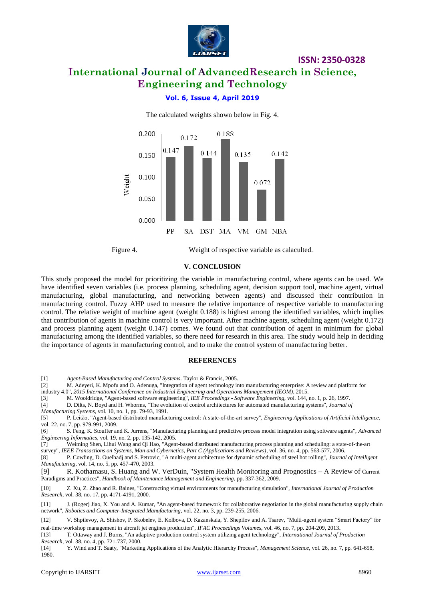

## **International Journal of AdvancedResearch in Science, Engineering and Technology**

**ISSN: 2350-0328**

#### **Vol. 6, Issue 4, April 2019**



The calculated weights shown below in Fig. 4.

Figure 4. Weight of respective variable as calaculted.

#### **V. CONCLUSION**

This study proposed the model for prioritizing the variable in manufacturing control, where agents can be used. We have identified seven variables (i.e. process planning, scheduling agent, decision support tool, machine agent, virtual manufacturing, global manufacturing, and networking between agents) and discussed their contribution in manufacturing control. Fuzzy AHP used to measure the relative importance of respective variable to manufacturing control. The relative weight of machine agent (weight 0.188) is highest among the identified variables, which implies that contribution of agents in machine control is very important. After machine agents, scheduling agent (weight 0.172) and process planning agent (weight 0.147) comes. We found out that contribution of agent in minimum for global manufacturing among the identified variables, so there need for research in this area. The study would help in deciding the importance of agents in manufacturing control, and to make the control system of manufacturing better.

#### **REFERENCES**

[1] *Agent-Based Manufacturing and Control Systems*. Taylor & Francis, 2005.

[2] M. Adeyeri, K. Mpofu and O. Adenuga, "Integration of agent technology into manufacturing enterprise: A review and platform for industry 4.0", *2015 International Conference on Industrial Engineering and Operations Management (IEOM)*, 2015.

[3] M. Wooldridge, "Agent-based software engineering", *IEE Proceedings - Software Engineering*, vol. 144, no. 1, p. 26, 1997.

[4] D. Dilts, N. Boyd and H. Whorms, "The evolution of control architectures for automated manufacturing systems", *Journal of* 

*Manufacturing Systems*, vol. 10, no. 1, pp. 79-93, 1991.

[6] S. Feng, K. Stouffer and K. Jurrens, "Manufacturing planning and predictive process model integration using software agents", *Advanced Engineering Informatics*, vol. 19, no. 2, pp. 135-142, 2005.

[7] Weiming Shen, Lihui Wang and Qi Hao, "Agent-based distributed manufacturing process planning and scheduling: a state-of-the-art

survey", *IEEE Transactions on Systems, Man and Cybernetics, Part C (Applications and Reviews)*, vol. 36, no. 4, pp. 563-577, 2006.

[8] P. Cowling, D. Ouelhadj and S. Petrovic, "A multi-agent architecture for dynamic scheduling of steel hot rolling", *Journal of Intelligent Manufacturing*, vol. 14, no. 5, pp. 457-470, 2003.

[9] R. Kothamasu, S. Huang and W. VerDuin, "System Health Monitoring and Prognostics – A Review of Current Paradigms and Practices", *Handbook of Maintenance Management and Engineering*, pp. 337-362, 2009.

[10] Z. Xu, Z. Zhao and R. Baines, "Constructing virtual environments for manufacturing simulation", *International Journal of Production Research*, vol. 38, no. 17, pp. 4171-4191, 2000.

[11] J. (Roger) Jiao, X. You and A. Kumar, "An agent-based framework for collaborative negotiation in the global manufacturing supply chain network", *Robotics and Computer-Integrated Manufacturing*, vol. 22, no. 3, pp. 239-255, 2006.

[12] V. Shpilevoy, A. Shishov, P. Skobelev, E. Kolbova, D. Kazanskaia, Y. Shepilov and A. Tsarev, "Multi-agent system "Smart Factory" for

real-time workshop management in aircraft jet engines production", *IFAC Proceedings Volumes*, vol. 46, no. 7, pp. 204-209, 2013.

[13] T. Ottaway and J. Burns, "An adaptive production control system utilizing agent technology", *International Journal of Production Research*, vol. 38, no. 4, pp. 721-737, 2000.

[14] Y. Wind and T. Saaty, "Marketing Applications of the Analytic Hierarchy Process", *Management Science*, vol. 26, no. 7, pp. 641-658, 1980.

<sup>[5]</sup> P. Leitão, "Agent-based distributed manufacturing control: A state-of-the-art survey", *Engineering Applications of Artificial Intelligence*, vol. 22, no. 7, pp. 979-991, 2009.